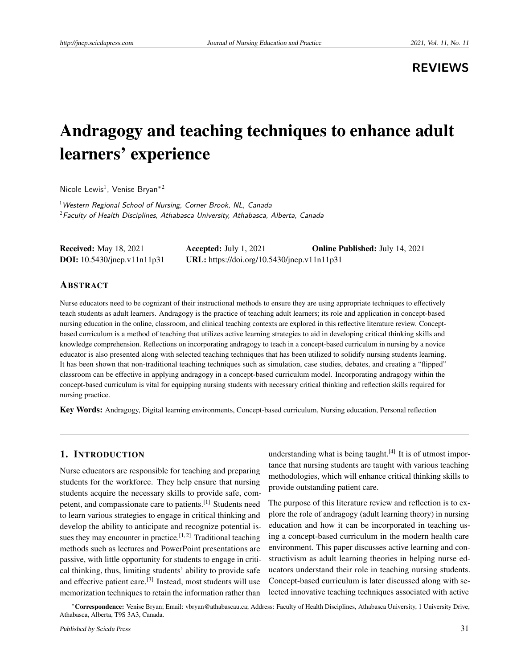## **REVIEWS**

# Andragogy and teaching techniques to enhance adult learners' experience

Nicole Lewis<sup>1</sup>, Venise Bryan<sup>\*2</sup>

<sup>1</sup> Western Regional School of Nursing, Corner Brook, NL, Canada  $2$ Faculty of Health Disciplines, Athabasca University, Athabasca, Alberta, Canada

| <b>Received:</b> May 18, 2021         | Accepted: July $1, 2021$                    | <b>Online Published:</b> July 14, 2021 |
|---------------------------------------|---------------------------------------------|----------------------------------------|
| <b>DOI:</b> $10.5430$ /jnep.v11n11p31 | URL: https://doi.org/10.5430/jnep.v11n11p31 |                                        |

## **ABSTRACT**

Nurse educators need to be cognizant of their instructional methods to ensure they are using appropriate techniques to effectively teach students as adult learners. Andragogy is the practice of teaching adult learners; its role and application in concept-based nursing education in the online, classroom, and clinical teaching contexts are explored in this reflective literature review. Conceptbased curriculum is a method of teaching that utilizes active learning strategies to aid in developing critical thinking skills and knowledge comprehension. Reflections on incorporating andragogy to teach in a concept-based curriculum in nursing by a novice educator is also presented along with selected teaching techniques that has been utilized to solidify nursing students learning. It has been shown that non-traditional teaching techniques such as simulation, case studies, debates, and creating a "flipped" classroom can be effective in applying andragogy in a concept-based curriculum model. Incorporating andragogy within the concept-based curriculum is vital for equipping nursing students with necessary critical thinking and reflection skills required for nursing practice.

Key Words: Andragogy, Digital learning environments, Concept-based curriculum, Nursing education, Personal reflection

## 1. INTRODUCTION

Nurse educators are responsible for teaching and preparing students for the workforce. They help ensure that nursing students acquire the necessary skills to provide safe, competent, and compassionate care to patients.[\[1\]](#page-8-0) Students need to learn various strategies to engage in critical thinking and develop the ability to anticipate and recognize potential is-sues they may encounter in practice.<sup>[\[1,](#page-8-0) [2\]](#page-8-1)</sup> Traditional teaching methods such as lectures and PowerPoint presentations are passive, with little opportunity for students to engage in critical thinking, thus, limiting students' ability to provide safe and effective patient care.<sup>[\[3\]](#page-8-2)</sup> Instead, most students will use memorization techniques to retain the information rather than

understanding what is being taught.<sup>[\[4\]](#page-8-3)</sup> It is of utmost importance that nursing students are taught with various teaching methodologies, which will enhance critical thinking skills to provide outstanding patient care.

The purpose of this literature review and reflection is to explore the role of andragogy (adult learning theory) in nursing education and how it can be incorporated in teaching using a concept-based curriculum in the modern health care environment. This paper discusses active learning and constructivism as adult learning theories in helping nurse educators understand their role in teaching nursing students. Concept-based curriculum is later discussed along with selected innovative teaching techniques associated with active

<sup>∗</sup>Correspondence: Venise Bryan; Email: vbryan@athabascau.ca; Address: Faculty of Health Disciplines, Athabasca University, 1 University Drive, Athabasca, Alberta, T9S 3A3, Canada.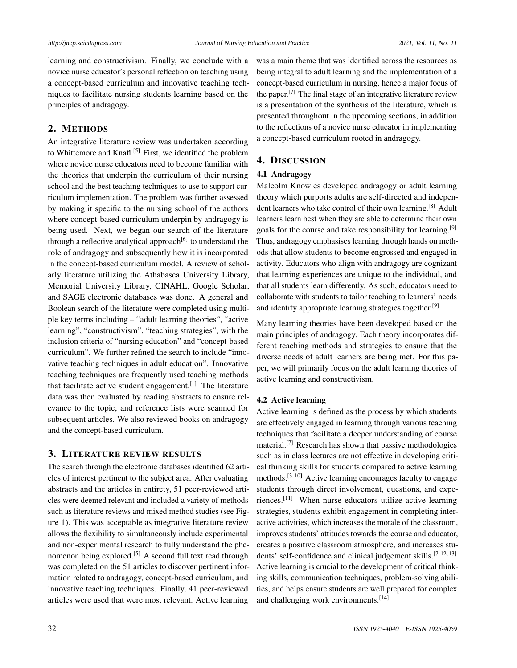learning and constructivism. Finally, we conclude with a novice nurse educator's personal reflection on teaching using a concept-based curriculum and innovative teaching techniques to facilitate nursing students learning based on the principles of andragogy.

## 2. METHODS

An integrative literature review was undertaken according to Whittemore and Knafl.<sup>[\[5\]](#page-8-4)</sup> First, we identified the problem where novice nurse educators need to become familiar with the theories that underpin the curriculum of their nursing school and the best teaching techniques to use to support curriculum implementation. The problem was further assessed by making it specific to the nursing school of the authors where concept-based curriculum underpin by andragogy is being used. Next, we began our search of the literature through a reflective analytical approach<sup>[\[6\]](#page-8-5)</sup> to understand the role of andragogy and subsequently how it is incorporated in the concept-based curriculum model. A review of scholarly literature utilizing the Athabasca University Library, Memorial University Library, CINAHL, Google Scholar, and SAGE electronic databases was done. A general and Boolean search of the literature were completed using multiple key terms including – "adult learning theories", "active learning", "constructivism", "teaching strategies", with the inclusion criteria of "nursing education" and "concept-based curriculum". We further refined the search to include "innovative teaching techniques in adult education". Innovative teaching techniques are frequently used teaching methods that facilitate active student engagement.<sup>[\[1\]](#page-8-0)</sup> The literature data was then evaluated by reading abstracts to ensure relevance to the topic, and reference lists were scanned for subsequent articles. We also reviewed books on andragogy and the concept-based curriculum.

## 3. LITERATURE REVIEW RESULTS

The search through the electronic databases identified 62 articles of interest pertinent to the subject area. After evaluating abstracts and the articles in entirety, 51 peer-reviewed articles were deemed relevant and included a variety of methods such as literature reviews and mixed method studies (see Figure 1). This was acceptable as integrative literature review allows the flexibility to simultaneously include experimental and non-experimental research to fully understand the phe-nomenon being explored.<sup>[\[5\]](#page-8-4)</sup> A second full text read through was completed on the 51 articles to discover pertinent information related to andragogy, concept-based curriculum, and innovative teaching techniques. Finally, 41 peer-reviewed articles were used that were most relevant. Active learning

was a main theme that was identified across the resources as being integral to adult learning and the implementation of a concept-based curriculum in nursing, hence a major focus of the paper.<sup>[\[7\]](#page-8-6)</sup> The final stage of an integrative literature review is a presentation of the synthesis of the literature, which is presented throughout in the upcoming sections, in addition to the reflections of a novice nurse educator in implementing a concept-based curriculum rooted in andragogy.

## 4. DISCUSSION

## 4.1 Andragogy

Malcolm Knowles developed andragogy or adult learning theory which purports adults are self-directed and indepen-dent learners who take control of their own learning.<sup>[\[8\]](#page-8-7)</sup> Adult learners learn best when they are able to determine their own goals for the course and take responsibility for learning.[\[9\]](#page-8-8) Thus, andragogy emphasises learning through hands on methods that allow students to become engrossed and engaged in activity. Educators who align with andragogy are cognizant that learning experiences are unique to the individual, and that all students learn differently. As such, educators need to collaborate with students to tailor teaching to learners' needs and identify appropriate learning strategies together.<sup>[\[9\]](#page-8-8)</sup>

Many learning theories have been developed based on the main principles of andragogy. Each theory incorporates different teaching methods and strategies to ensure that the diverse needs of adult learners are being met. For this paper, we will primarily focus on the adult learning theories of active learning and constructivism.

## 4.2 Active learning

Active learning is defined as the process by which students are effectively engaged in learning through various teaching techniques that facilitate a deeper understanding of course material.<sup>[\[7\]](#page-8-6)</sup> Research has shown that passive methodologies such as in class lectures are not effective in developing critical thinking skills for students compared to active learning methods.[\[3,](#page-8-2) [10\]](#page-8-9) Active learning encourages faculty to engage students through direct involvement, questions, and experiences.[\[11\]](#page-8-10) When nurse educators utilize active learning strategies, students exhibit engagement in completing interactive activities, which increases the morale of the classroom, improves students' attitudes towards the course and educator, creates a positive classroom atmosphere, and increases stu-dents' self-confidence and clinical judgement skills.<sup>[\[7,](#page-8-6) [12,](#page-8-11) [13\]](#page-8-12)</sup> Active learning is crucial to the development of critical thinking skills, communication techniques, problem-solving abilities, and helps ensure students are well prepared for complex and challenging work environments.<sup>[\[14\]](#page-8-13)</sup>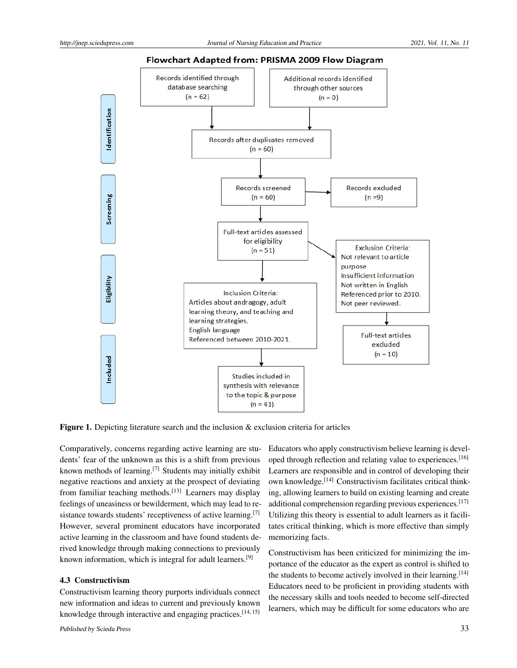

#### Flowchart Adapted from: PRISMA 2009 Flow Diagram

Figure 1. Depicting literature search and the inclusion & exclusion criteria for articles

Comparatively, concerns regarding active learning are students' fear of the unknown as this is a shift from previous known methods of learning.<sup>[\[7\]](#page-8-6)</sup> Students may initially exhibit negative reactions and anxiety at the prospect of deviating from familiar teaching methods.<sup>[\[13\]](#page-8-12)</sup> Learners may display feelings of uneasiness or bewilderment, which may lead to re-sistance towards students' receptiveness of active learning.<sup>[\[7\]](#page-8-6)</sup> However, several prominent educators have incorporated active learning in the classroom and have found students derived knowledge through making connections to previously known information, which is integral for adult learners.[\[9\]](#page-8-8)

#### 4.3 Constructivism

Constructivism learning theory purports individuals connect new information and ideas to current and previously known knowledge through interactive and engaging practices.<sup>[\[14,](#page-8-13)[15\]](#page-8-14)</sup>

Educators who apply constructivism believe learning is devel-oped through reflection and relating value to experiences.<sup>[\[16\]](#page-8-15)</sup> Learners are responsible and in control of developing their own knowledge.[\[14\]](#page-8-13) Constructivism facilitates critical thinking, allowing learners to build on existing learning and create additional comprehension regarding previous experiences.[\[17\]](#page-8-16) Utilizing this theory is essential to adult learners as it facilitates critical thinking, which is more effective than simply memorizing facts.

Constructivism has been criticized for minimizing the importance of the educator as the expert as control is shifted to the students to become actively involved in their learning.<sup>[\[14\]](#page-8-13)</sup> Educators need to be proficient in providing students with the necessary skills and tools needed to become self-directed learners, which may be difficult for some educators who are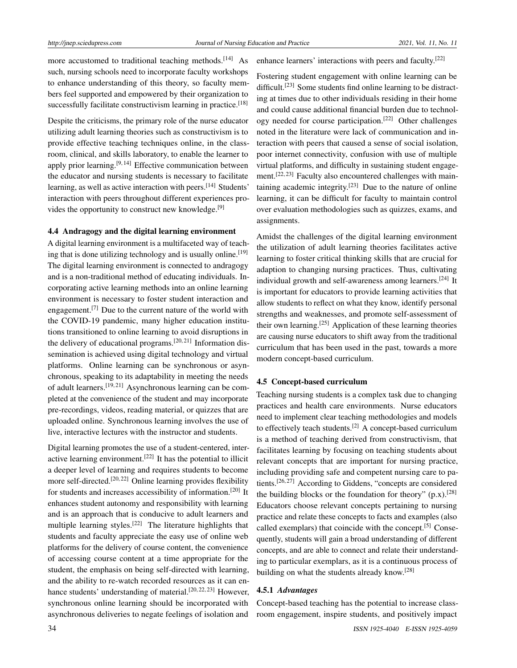more accustomed to traditional teaching methods.<sup>[\[14\]](#page-8-13)</sup> As such, nursing schools need to incorporate faculty workshops to enhance understanding of this theory, so faculty members feel supported and empowered by their organization to successfully facilitate constructivism learning in practice.<sup>[\[18\]](#page-9-0)</sup>

Despite the criticisms, the primary role of the nurse educator utilizing adult learning theories such as constructivism is to provide effective teaching techniques online, in the classroom, clinical, and skills laboratory, to enable the learner to apply prior learning.<sup>[\[9,](#page-8-8) [14\]](#page-8-13)</sup> Effective communication between the educator and nursing students is necessary to facilitate learning, as well as active interaction with peers.<sup>[\[14\]](#page-8-13)</sup> Students' interaction with peers throughout different experiences pro-vides the opportunity to construct new knowledge.<sup>[\[9\]](#page-8-8)</sup>

### 4.4 Andragogy and the digital learning environment

A digital learning environment is a multifaceted way of teach-ing that is done utilizing technology and is usually online.<sup>[\[19\]](#page-9-1)</sup> The digital learning environment is connected to andragogy and is a non-traditional method of educating individuals. Incorporating active learning methods into an online learning environment is necessary to foster student interaction and engagement.<sup>[\[7\]](#page-8-6)</sup> Due to the current nature of the world with the COVID-19 pandemic, many higher education institutions transitioned to online learning to avoid disruptions in the delivery of educational programs.<sup>[\[20,](#page-9-2)[21\]](#page-9-3)</sup> Information dissemination is achieved using digital technology and virtual platforms. Online learning can be synchronous or asynchronous, speaking to its adaptability in meeting the needs of adult learners.[\[19,](#page-9-1) [21\]](#page-9-3) Asynchronous learning can be completed at the convenience of the student and may incorporate pre-recordings, videos, reading material, or quizzes that are uploaded online. Synchronous learning involves the use of live, interactive lectures with the instructor and students.

Digital learning promotes the use of a student-centered, inter-active learning environment.<sup>[\[22\]](#page-9-4)</sup> It has the potential to illicit a deeper level of learning and requires students to become more self-directed.<sup>[\[20,](#page-9-2) [22\]](#page-9-4)</sup> Online learning provides flexibility for students and increases accessibility of information.<sup>[\[20\]](#page-9-2)</sup> It enhances student autonomy and responsibility with learning and is an approach that is conducive to adult learners and multiple learning styles.<sup>[\[22\]](#page-9-4)</sup> The literature highlights that students and faculty appreciate the easy use of online web platforms for the delivery of course content, the convenience of accessing course content at a time appropriate for the student, the emphasis on being self-directed with learning, and the ability to re-watch recorded resources as it can en-hance students' understanding of material.<sup>[\[20,](#page-9-2) [22,](#page-9-4) [23\]](#page-9-5)</sup> However, synchronous online learning should be incorporated with asynchronous deliveries to negate feelings of isolation and

Fostering student engagement with online learning can be difficult.<sup>[\[23\]](#page-9-5)</sup> Some students find online learning to be distracting at times due to other individuals residing in their home and could cause additional financial burden due to technology needed for course participation.[\[22\]](#page-9-4) Other challenges noted in the literature were lack of communication and interaction with peers that caused a sense of social isolation, poor internet connectivity, confusion with use of multiple virtual platforms, and difficulty in sustaining student engage-ment.<sup>[\[22,](#page-9-4) [23\]](#page-9-5)</sup> Faculty also encountered challenges with maintaining academic integrity.[\[23\]](#page-9-5) Due to the nature of online learning, it can be difficult for faculty to maintain control over evaluation methodologies such as quizzes, exams, and assignments.

enhance learners' interactions with peers and faculty.[\[22\]](#page-9-4)

Amidst the challenges of the digital learning environment the utilization of adult learning theories facilitates active learning to foster critical thinking skills that are crucial for adaption to changing nursing practices. Thus, cultivating individual growth and self-awareness among learners.<sup>[\[24\]](#page-9-6)</sup> It is important for educators to provide learning activities that allow students to reflect on what they know, identify personal strengths and weaknesses, and promote self-assessment of their own learning.<sup>[\[25\]](#page-9-7)</sup> Application of these learning theories are causing nurse educators to shift away from the traditional curriculum that has been used in the past, towards a more modern concept-based curriculum.

#### 4.5 Concept-based curriculum

Teaching nursing students is a complex task due to changing practices and health care environments. Nurse educators need to implement clear teaching methodologies and models to effectively teach students.<sup>[\[2\]](#page-8-1)</sup> A concept-based curriculum is a method of teaching derived from constructivism, that facilitates learning by focusing on teaching students about relevant concepts that are important for nursing practice, including providing safe and competent nursing care to patients.[\[26,](#page-9-8) [27\]](#page-9-9) According to Giddens, "concepts are considered the building blocks or the foundation for theory"  $(p.x)$ .<sup>[\[28\]](#page-9-10)</sup> Educators choose relevant concepts pertaining to nursing practice and relate these concepts to facts and examples (also called exemplars) that coincide with the concept.<sup>[\[5\]](#page-8-4)</sup> Consequently, students will gain a broad understanding of different concepts, and are able to connect and relate their understanding to particular exemplars, as it is a continuous process of building on what the students already know.[\[28\]](#page-9-10)

## 4.5.1 *Advantages*

Concept-based teaching has the potential to increase classroom engagement, inspire students, and positively impact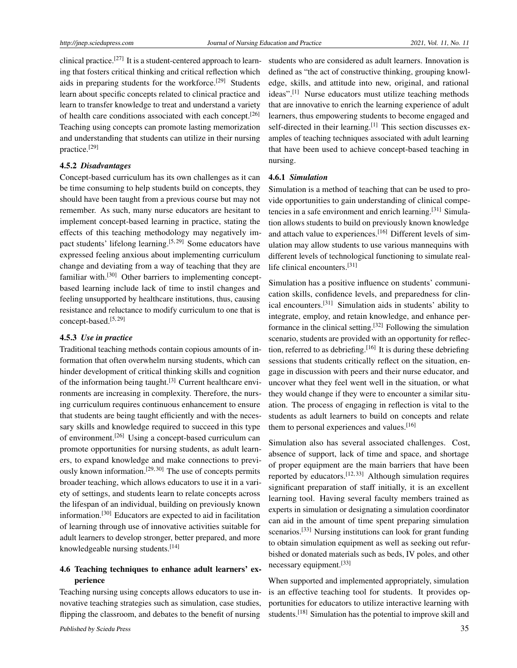clinical practice.<sup>[\[27\]](#page-9-9)</sup> It is a student-centered approach to learning that fosters critical thinking and critical reflection which aids in preparing students for the workforce.<sup>[\[29\]](#page-9-11)</sup> Students learn about specific concepts related to clinical practice and learn to transfer knowledge to treat and understand a variety of health care conditions associated with each concept.[\[26\]](#page-9-8) Teaching using concepts can promote lasting memorization and understanding that students can utilize in their nursing practice.[\[29\]](#page-9-11)

#### 4.5.2 *Disadvantages*

Concept-based curriculum has its own challenges as it can be time consuming to help students build on concepts, they should have been taught from a previous course but may not remember. As such, many nurse educators are hesitant to implement concept-based learning in practice, stating the effects of this teaching methodology may negatively im-pact students' lifelong learning.<sup>[\[5,](#page-8-4)[29\]](#page-9-11)</sup> Some educators have expressed feeling anxious about implementing curriculum change and deviating from a way of teaching that they are familiar with.<sup>[\[30\]](#page-9-12)</sup> Other barriers to implementing conceptbased learning include lack of time to instil changes and feeling unsupported by healthcare institutions, thus, causing resistance and reluctance to modify curriculum to one that is concept-based.[\[5,](#page-8-4) [29\]](#page-9-11)

#### 4.5.3 *Use in practice*

Traditional teaching methods contain copious amounts of information that often overwhelm nursing students, which can hinder development of critical thinking skills and cognition of the information being taught.[\[3\]](#page-8-2) Current healthcare environments are increasing in complexity. Therefore, the nursing curriculum requires continuous enhancement to ensure that students are being taught efficiently and with the necessary skills and knowledge required to succeed in this type of environment.[\[26\]](#page-9-8) Using a concept-based curriculum can promote opportunities for nursing students, as adult learners, to expand knowledge and make connections to previously known information.[\[29,](#page-9-11) [30\]](#page-9-12) The use of concepts permits broader teaching, which allows educators to use it in a variety of settings, and students learn to relate concepts across the lifespan of an individual, building on previously known information.[\[30\]](#page-9-12) Educators are expected to aid in facilitation of learning through use of innovative activities suitable for adult learners to develop stronger, better prepared, and more knowledgeable nursing students.<sup>[\[14\]](#page-8-13)</sup>

## 4.6 Teaching techniques to enhance adult learners' experience

Teaching nursing using concepts allows educators to use innovative teaching strategies such as simulation, case studies, flipping the classroom, and debates to the benefit of nursing

students who are considered as adult learners. Innovation is defined as "the act of constructive thinking, grouping knowledge, skills, and attitude into new, original, and rational ideas".[\[1\]](#page-8-0) Nurse educators must utilize teaching methods that are innovative to enrich the learning experience of adult learners, thus empowering students to become engaged and self-directed in their learning.<sup>[\[1\]](#page-8-0)</sup> This section discusses examples of teaching techniques associated with adult learning that have been used to achieve concept-based teaching in nursing.

#### 4.6.1 *Simulation*

Simulation is a method of teaching that can be used to provide opportunities to gain understanding of clinical compe-tencies in a safe environment and enrich learning.<sup>[\[31\]](#page-9-13)</sup> Simulation allows students to build on previously known knowledge and attach value to experiences.<sup>[\[16\]](#page-8-15)</sup> Different levels of simulation may allow students to use various mannequins with different levels of technological functioning to simulate reallife clinical encounters.[\[31\]](#page-9-13)

Simulation has a positive influence on students' communication skills, confidence levels, and preparedness for clinical encounters.[\[31\]](#page-9-13) Simulation aids in students' ability to integrate, employ, and retain knowledge, and enhance per-formance in the clinical setting.<sup>[\[32\]](#page-9-14)</sup> Following the simulation scenario, students are provided with an opportunity for reflec-tion, referred to as debriefing.<sup>[\[16\]](#page-8-15)</sup> It is during these debriefing sessions that students critically reflect on the situation, engage in discussion with peers and their nurse educator, and uncover what they feel went well in the situation, or what they would change if they were to encounter a similar situation. The process of engaging in reflection is vital to the students as adult learners to build on concepts and relate them to personal experiences and values.<sup>[\[16\]](#page-8-15)</sup>

Simulation also has several associated challenges. Cost, absence of support, lack of time and space, and shortage of proper equipment are the main barriers that have been reported by educators.<sup>[\[12,](#page-8-11)[33\]](#page-9-15)</sup> Although simulation requires significant preparation of staff initially, it is an excellent learning tool. Having several faculty members trained as experts in simulation or designating a simulation coordinator can aid in the amount of time spent preparing simulation scenarios.<sup>[\[33\]](#page-9-15)</sup> Nursing institutions can look for grant funding to obtain simulation equipment as well as seeking out refurbished or donated materials such as beds, IV poles, and other necessary equipment.<sup>[\[33\]](#page-9-15)</sup>

When supported and implemented appropriately, simulation is an effective teaching tool for students. It provides opportunities for educators to utilize interactive learning with students.[\[18\]](#page-9-0) Simulation has the potential to improve skill and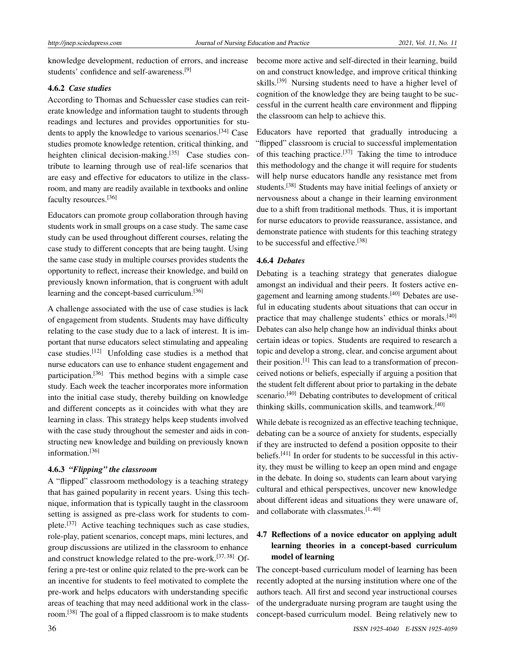knowledge development, reduction of errors, and increase students' confidence and self-awareness.[\[9\]](#page-8-8)

## 4.6.2 *Case studies*

According to Thomas and Schuessler case studies can reiterate knowledge and information taught to students through readings and lectures and provides opportunities for students to apply the knowledge to various scenarios.[\[34\]](#page-9-16) Case studies promote knowledge retention, critical thinking, and heighten clinical decision-making.<sup>[\[35\]](#page-9-17)</sup> Case studies contribute to learning through use of real-life scenarios that are easy and effective for educators to utilize in the classroom, and many are readily available in textbooks and online faculty resources.[\[36\]](#page-9-18)

Educators can promote group collaboration through having students work in small groups on a case study. The same case study can be used throughout different courses, relating the case study to different concepts that are being taught. Using the same case study in multiple courses provides students the opportunity to reflect, increase their knowledge, and build on previously known information, that is congruent with adult learning and the concept-based curriculum.[\[36\]](#page-9-18)

A challenge associated with the use of case studies is lack of engagement from students. Students may have difficulty relating to the case study due to a lack of interest. It is important that nurse educators select stimulating and appealing case studies.[\[12\]](#page-8-11) Unfolding case studies is a method that nurse educators can use to enhance student engagement and participation.[\[36\]](#page-9-18) This method begins with a simple case study. Each week the teacher incorporates more information into the initial case study, thereby building on knowledge and different concepts as it coincides with what they are learning in class. This strategy helps keep students involved with the case study throughout the semester and aids in constructing new knowledge and building on previously known information.<sup>[\[36\]](#page-9-18)</sup>

## 4.6.3 *"Flipping" the classroom*

A "flipped" classroom methodology is a teaching strategy that has gained popularity in recent years. Using this technique, information that is typically taught in the classroom setting is assigned as pre-class work for students to complete.[\[37\]](#page-9-19) Active teaching techniques such as case studies, role-play, patient scenarios, concept maps, mini lectures, and group discussions are utilized in the classroom to enhance and construct knowledge related to the pre-work.[\[37,](#page-9-19) [38\]](#page-9-20) Offering a pre-test or online quiz related to the pre-work can be an incentive for students to feel motivated to complete the pre-work and helps educators with understanding specific areas of teaching that may need additional work in the classroom.[\[38\]](#page-9-20) The goal of a flipped classroom is to make students

become more active and self-directed in their learning, build on and construct knowledge, and improve critical thinking skills.<sup>[\[39\]](#page-9-21)</sup> Nursing students need to have a higher level of cognition of the knowledge they are being taught to be successful in the current health care environment and flipping the classroom can help to achieve this.

Educators have reported that gradually introducing a "flipped" classroom is crucial to successful implementation of this teaching practice.<sup>[\[37\]](#page-9-19)</sup> Taking the time to introduce this methodology and the change it will require for students will help nurse educators handle any resistance met from students.<sup>[\[38\]](#page-9-20)</sup> Students may have initial feelings of anxiety or nervousness about a change in their learning environment due to a shift from traditional methods. Thus, it is important for nurse educators to provide reassurance, assistance, and demonstrate patience with students for this teaching strategy to be successful and effective.[\[38\]](#page-9-20)

## 4.6.4 *Debates*

Debating is a teaching strategy that generates dialogue amongst an individual and their peers. It fosters active en-gagement and learning among students.<sup>[\[40\]](#page-9-22)</sup> Debates are useful in educating students about situations that can occur in practice that may challenge students' ethics or morals.[\[40\]](#page-9-22) Debates can also help change how an individual thinks about certain ideas or topics. Students are required to research a topic and develop a strong, clear, and concise argument about their position.<sup>[\[1\]](#page-8-0)</sup> This can lead to a transformation of preconceived notions or beliefs, especially if arguing a position that the student felt different about prior to partaking in the debate scenario.<sup>[\[40\]](#page-9-22)</sup> Debating contributes to development of critical thinking skills, communication skills, and teamwork.[\[40\]](#page-9-22)

While debate is recognized as an effective teaching technique, debating can be a source of anxiety for students, especially if they are instructed to defend a position opposite to their beliefs.<sup>[\[41\]](#page-9-23)</sup> In order for students to be successful in this activity, they must be willing to keep an open mind and engage in the debate. In doing so, students can learn about varying cultural and ethical perspectives, uncover new knowledge about different ideas and situations they were unaware of, and collaborate with classmates.[\[1,](#page-8-0) [40\]](#page-9-22)

## 4.7 Reflections of a novice educator on applying adult learning theories in a concept-based curriculum model of learning

The concept-based curriculum model of learning has been recently adopted at the nursing institution where one of the authors teach. All first and second year instructional courses of the undergraduate nursing program are taught using the concept-based curriculum model. Being relatively new to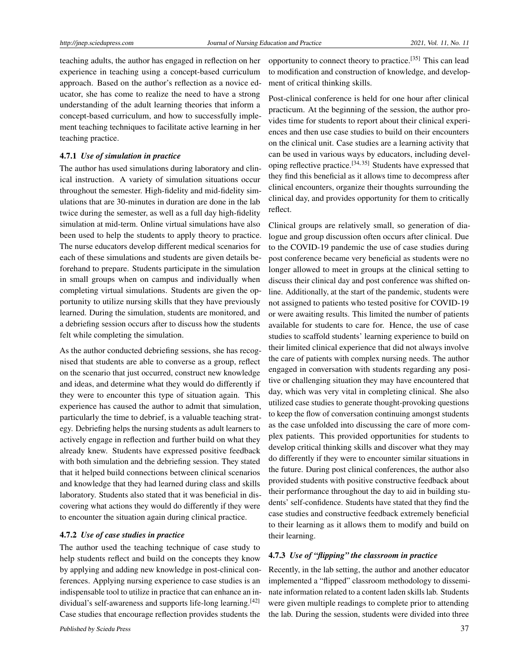teaching adults, the author has engaged in reflection on her experience in teaching using a concept-based curriculum approach. Based on the author's reflection as a novice educator, she has come to realize the need to have a strong understanding of the adult learning theories that inform a concept-based curriculum, and how to successfully implement teaching techniques to facilitate active learning in her teaching practice.

#### 4.7.1 *Use of simulation in practice*

The author has used simulations during laboratory and clinical instruction. A variety of simulation situations occur throughout the semester. High-fidelity and mid-fidelity simulations that are 30-minutes in duration are done in the lab twice during the semester, as well as a full day high-fidelity simulation at mid-term. Online virtual simulations have also been used to help the students to apply theory to practice. The nurse educators develop different medical scenarios for each of these simulations and students are given details beforehand to prepare. Students participate in the simulation in small groups when on campus and individually when completing virtual simulations. Students are given the opportunity to utilize nursing skills that they have previously learned. During the simulation, students are monitored, and a debriefing session occurs after to discuss how the students felt while completing the simulation.

As the author conducted debriefing sessions, she has recognised that students are able to converse as a group, reflect on the scenario that just occurred, construct new knowledge and ideas, and determine what they would do differently if they were to encounter this type of situation again. This experience has caused the author to admit that simulation, particularly the time to debrief, is a valuable teaching strategy. Debriefing helps the nursing students as adult learners to actively engage in reflection and further build on what they already knew. Students have expressed positive feedback with both simulation and the debriefing session. They stated that it helped build connections between clinical scenarios and knowledge that they had learned during class and skills laboratory. Students also stated that it was beneficial in discovering what actions they would do differently if they were to encounter the situation again during clinical practice.

## 4.7.2 *Use of case studies in practice*

The author used the teaching technique of case study to help students reflect and build on the concepts they know by applying and adding new knowledge in post-clinical conferences. Applying nursing experience to case studies is an indispensable tool to utilize in practice that can enhance an in-dividual's self-awareness and supports life-long learning.<sup>[\[42\]](#page-9-24)</sup> Case studies that encourage reflection provides students the

opportunity to connect theory to practice.[\[35\]](#page-9-17) This can lead to modification and construction of knowledge, and development of critical thinking skills.

Post-clinical conference is held for one hour after clinical practicum. At the beginning of the session, the author provides time for students to report about their clinical experiences and then use case studies to build on their encounters on the clinical unit. Case studies are a learning activity that can be used in various ways by educators, including developing reflective practice.[\[34,](#page-9-16) [35\]](#page-9-17) Students have expressed that they find this beneficial as it allows time to decompress after clinical encounters, organize their thoughts surrounding the clinical day, and provides opportunity for them to critically reflect.

Clinical groups are relatively small, so generation of dialogue and group discussion often occurs after clinical. Due to the COVID-19 pandemic the use of case studies during post conference became very beneficial as students were no longer allowed to meet in groups at the clinical setting to discuss their clinical day and post conference was shifted online. Additionally, at the start of the pandemic, students were not assigned to patients who tested positive for COVID-19 or were awaiting results. This limited the number of patients available for students to care for. Hence, the use of case studies to scaffold students' learning experience to build on their limited clinical experience that did not always involve the care of patients with complex nursing needs. The author engaged in conversation with students regarding any positive or challenging situation they may have encountered that day, which was very vital in completing clinical. She also utilized case studies to generate thought-provoking questions to keep the flow of conversation continuing amongst students as the case unfolded into discussing the care of more complex patients. This provided opportunities for students to develop critical thinking skills and discover what they may do differently if they were to encounter similar situations in the future. During post clinical conferences, the author also provided students with positive constructive feedback about their performance throughout the day to aid in building students' self-confidence. Students have stated that they find the case studies and constructive feedback extremely beneficial to their learning as it allows them to modify and build on their learning.

#### 4.7.3 *Use of "flipping" the classroom in practice*

Recently, in the lab setting, the author and another educator implemented a "flipped" classroom methodology to disseminate information related to a content laden skills lab. Students were given multiple readings to complete prior to attending the lab. During the session, students were divided into three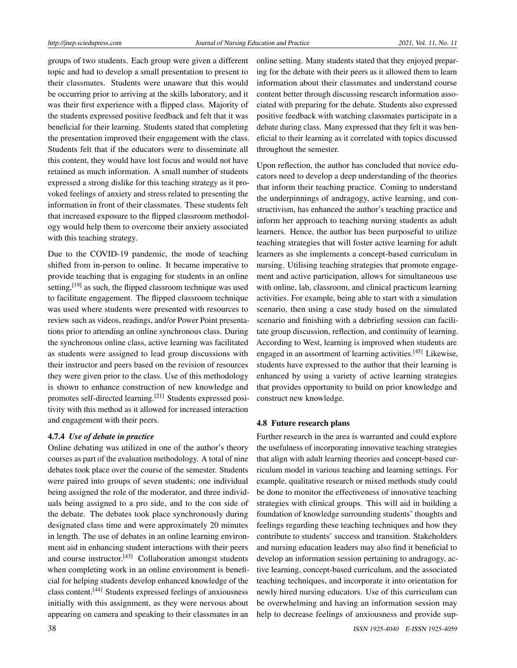groups of two students. Each group were given a different topic and had to develop a small presentation to present to their classmates. Students were unaware that this would be occurring prior to arriving at the skills laboratory, and it was their first experience with a flipped class. Majority of the students expressed positive feedback and felt that it was beneficial for their learning. Students stated that completing the presentation improved their engagement with the class. Students felt that if the educators were to disseminate all this content, they would have lost focus and would not have retained as much information. A small number of students expressed a strong dislike for this teaching strategy as it provoked feelings of anxiety and stress related to presenting the information in front of their classmates. These students felt that increased exposure to the flipped classroom methodology would help them to overcome their anxiety associated with this teaching strategy.

Due to the COVID-19 pandemic, the mode of teaching shifted from in-person to online. It became imperative to provide teaching that is engaging for students in an online setting,<sup>[\[19\]](#page-9-1)</sup> as such, the flipped classroom technique was used to facilitate engagement. The flipped classroom technique was used where students were presented with resources to review such as videos, readings, and/or Power Point presentations prior to attending an online synchronous class. During the synchronous online class, active learning was facilitated as students were assigned to lead group discussions with their instructor and peers based on the revision of resources they were given prior to the class. Use of this methodology is shown to enhance construction of new knowledge and promotes self-directed learning.<sup>[\[21\]](#page-9-3)</sup> Students expressed positivity with this method as it allowed for increased interaction and engagement with their peers.

## 4.7.4 *Use of debate in practice*

Online debating was utilized in one of the author's theory courses as part of the evaluation methodology. A total of nine debates took place over the course of the semester. Students were paired into groups of seven students; one individual being assigned the role of the moderator, and three individuals being assigned to a pro side, and to the con side of the debate. The debates took place synchronously during designated class time and were approximately 20 minutes in length. The use of debates in an online learning environment aid in enhancing student interactions with their peers and course instructor.<sup>[\[43\]](#page-9-25)</sup> Collaboration amongst students when completing work in an online environment is beneficial for helping students develop enhanced knowledge of the class content.[\[44\]](#page-9-26) Students expressed feelings of anxiousness initially with this assignment, as they were nervous about appearing on camera and speaking to their classmates in an

online setting. Many students stated that they enjoyed preparing for the debate with their peers as it allowed them to learn information about their classmates and understand course content better through discussing research information associated with preparing for the debate. Students also expressed positive feedback with watching classmates participate in a debate during class. Many expressed that they felt it was beneficial to their learning as it correlated with topics discussed throughout the semester.

Upon reflection, the author has concluded that novice educators need to develop a deep understanding of the theories that inform their teaching practice. Coming to understand the underpinnings of andragogy, active learning, and constructivism, has enhanced the author's teaching practice and inform her approach to teaching nursing students as adult learners. Hence, the author has been purposeful to utilize teaching strategies that will foster active learning for adult learners as she implements a concept-based curriculum in nursing. Utilising teaching strategies that promote engagement and active participation, allows for simultaneous use with online, lab, classroom, and clinical practicum learning activities. For example, being able to start with a simulation scenario, then using a case study based on the simulated scenario and finishing with a debriefing session can facilitate group discussion, reflection, and continuity of learning. According to West, learning is improved when students are engaged in an assortment of learning activities.<sup>[\[45\]](#page-9-27)</sup> Likewise, students have expressed to the author that their learning is enhanced by using a variety of active learning strategies that provides opportunity to build on prior knowledge and construct new knowledge.

#### 4.8 Future research plans

Further research in the area is warranted and could explore the usefulness of incorporating innovative teaching strategies that align with adult learning theories and concept-based curriculum model in various teaching and learning settings. For example, qualitative research or mixed methods study could be done to monitor the effectiveness of innovative teaching strategies with clinical groups. This will aid in building a foundation of knowledge surrounding students' thoughts and feelings regarding these teaching techniques and how they contribute to students' success and transition. Stakeholders and nursing education leaders may also find it beneficial to develop an information session pertaining to andragogy, active learning, concept-based curriculum, and the associated teaching techniques, and incorporate it into orientation for newly hired nursing educators. Use of this curriculum can be overwhelming and having an information session may help to decrease feelings of anxiousness and provide sup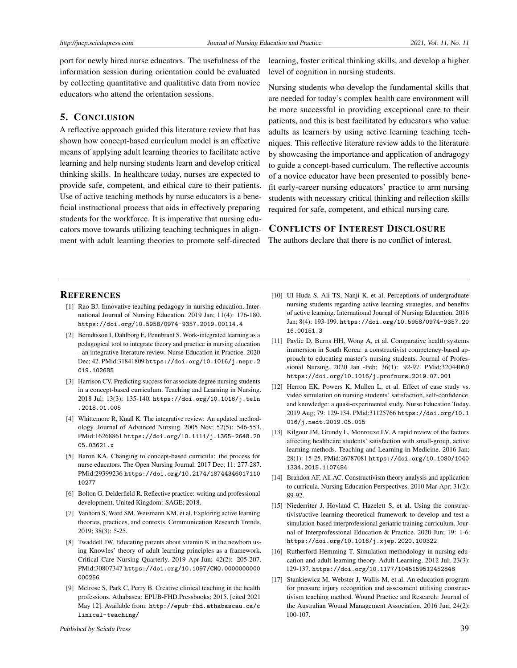port for newly hired nurse educators. The usefulness of the information session during orientation could be evaluated by collecting quantitative and qualitative data from novice educators who attend the orientation sessions.

## 5. CONCLUSION

A reflective approach guided this literature review that has shown how concept-based curriculum model is an effective means of applying adult learning theories to facilitate active learning and help nursing students learn and develop critical thinking skills. In healthcare today, nurses are expected to provide safe, competent, and ethical care to their patients. Use of active teaching methods by nurse educators is a beneficial instructional process that aids in effectively preparing students for the workforce. It is imperative that nursing educators move towards utilizing teaching techniques in alignment with adult learning theories to promote self-directed

learning, foster critical thinking skills, and develop a higher level of cognition in nursing students.

Nursing students who develop the fundamental skills that are needed for today's complex health care environment will be more successful in providing exceptional care to their patients, and this is best facilitated by educators who value adults as learners by using active learning teaching techniques. This reflective literature review adds to the literature by showcasing the importance and application of andragogy to guide a concept-based curriculum. The reflective accounts of a novice educator have been presented to possibly benefit early-career nursing educators' practice to arm nursing students with necessary critical thinking and reflection skills required for safe, competent, and ethical nursing care.

## CONFLICTS OF INTEREST DISCLOSURE

The authors declare that there is no conflict of interest.

#### **REFERENCES**

- <span id="page-8-0"></span>[1] Rao BJ. Innovative teaching pedagogy in nursing education. International Journal of Nursing Education. 2019 Jan; 11(4): 176-180. <https://doi.org/10.5958/0974-9357.2019.00114.4>
- <span id="page-8-1"></span>[2] Berndtsson I, Dahlborg E, Pennbrant S. Work-integrated learning as a pedagogical tool to integrate theory and practice in nursing education – an integrative literature review. Nurse Education in Practice. 2020 Dec; 42. PMid:31841809 [https://doi.org/10.1016/j.nepr.2](https://doi.org/10.1016/j.nepr.2019.102685) [019.102685](https://doi.org/10.1016/j.nepr.2019.102685)
- <span id="page-8-2"></span>[3] Harrison CV. Predicting success for associate degree nursing students in a concept-based curriculum. Teaching and Learning in Nursing. 2018 Jul; 13(3): 135-140. [https://doi.org/10.1016/j.teln](https://doi.org/10.1016/j.teln.2018.01.005) [.2018.01.005](https://doi.org/10.1016/j.teln.2018.01.005)
- <span id="page-8-3"></span>[4] Whittemore R, Knafl K. The integrative review: An updated methodology. Journal of Advanced Nursing. 2005 Nov; 52(5): 546-553. PMid:16268861 [https://doi.org/10.1111/j.1365-2648.20](https://doi.org/10.1111/j.1365-2648.2005.03621.x) [05.03621.x](https://doi.org/10.1111/j.1365-2648.2005.03621.x)
- <span id="page-8-4"></span>[5] Baron KA. Changing to concept-based curricula: the process for nurse educators. The Open Nursing Journal. 2017 Dec; 11: 277-287. PMid:29399236 [https://doi.org/10.2174/18744346017110](https://doi.org/10.2174/1874434601711010277) [10277](https://doi.org/10.2174/1874434601711010277)
- <span id="page-8-5"></span>[6] Bolton G, Delderfield R. Reflective practice: writing and professional development. United Kingdom: SAGE; 2018.
- <span id="page-8-6"></span>[7] Vanhorn S, Ward SM, Weismann KM, et al. Exploring active learning theories, practices, and contexts. Communication Research Trends. 2019; 38(3): 5-25.
- <span id="page-8-7"></span>[8] Twaddell JW. Educating parents about vitamin K in the newborn using Knowles' theory of adult learning principles as a framework. Critical Care Nursing Quarterly. 2019 Apr-Jun; 42(2): 205-207. PMid:30807347 [https://doi.org/10.1097/CNQ.0000000000](https://doi.org/10.1097/CNQ.0000000000000256) [000256](https://doi.org/10.1097/CNQ.0000000000000256)
- <span id="page-8-8"></span>[9] Melrose S, Park C, Perry B. Creative clinical teaching in the health professions. Athabasca: EPUB-FHD.Pressbooks; 2015. [cited 2021 May 12]. Available from: [http://epub-fhd.athabascau.ca/c](http://epub-fhd.athabascau.ca/clinical-teaching/) [linical-teaching/](http://epub-fhd.athabascau.ca/clinical-teaching/)
- <span id="page-8-9"></span>[10] Ul Huda S, Ali TS, Nanji K, et al. Perceptions of undergraduate nursing students regarding active learning strategies, and benefits of active learning. International Journal of Nursing Education. 2016 Jan; 8(4): 193-199. [https://doi.org/10.5958/0974-9357.20](https://doi.org/10.5958/0974-9357.2016.00151.3) [16.00151.3](https://doi.org/10.5958/0974-9357.2016.00151.3)
- <span id="page-8-10"></span>[11] Pavlic D, Burns HH, Wong A, et al. Comparative health systems immersion in South Korea: a constructivist competency-based approach to educating master's nursing students. Journal of Professional Nursing. 2020 Jan -Feb; 36(1): 92-97. PMid:32044060 <https://doi.org/10.1016/j.profnurs.2019.07.001>
- <span id="page-8-11"></span>[12] Herron EK, Powers K, Mullen L, et al. Effect of case study vs. video simulation on nursing students' satisfaction, self-confidence, and knowledge: a quasi-experimental study. Nurse Education Today. 2019 Aug; 79: 129-134. PMid:31125766 [https://doi.org/10.1](https://doi.org/10.1016/j.nedt.2019.05.015) [016/j.nedt.2019.05.015](https://doi.org/10.1016/j.nedt.2019.05.015)
- <span id="page-8-12"></span>[13] Kilgour JM, Grundy L, Monrouxe LV. A rapid review of the factors affecting healthcare students' satisfaction with small-group, active learning methods. Teaching and Learning in Medicine. 2016 Jan; 28(1): 15-25. PMid:26787081 [https://doi.org/10.1080/1040](https://doi.org/10.1080/10401334.2015.1107484) [1334.2015.1107484](https://doi.org/10.1080/10401334.2015.1107484)
- <span id="page-8-13"></span>[14] Brandon AF, All AC. Constructivism theory analysis and application to curricula. Nursing Education Perspectives. 2010 Mar-Apr; 31(2): 89-92.
- <span id="page-8-14"></span>[15] Niederriter J, Hovland C, Hazelett S, et al. Using the constructivist/active learning theoretical framework to develop and test a simulation-based interprofessional geriatric training curriculum. Journal of Interprofessional Education & Practice. 2020 Jun; 19: 1-6. <https://doi.org/10.1016/j.xjep.2020.100322>
- <span id="page-8-15"></span>[16] Rutherford-Hemming T. Simulation methodology in nursing education and adult learning theory. Adult Learning. 2012 Jul; 23(3): 129-137. <https://doi.org/10.1177/1045159512452848>
- <span id="page-8-16"></span>[17] Stankiewicz M, Webster J, Wallis M, et al. An education program for pressure injury recognition and assessment utilising constructivism teaching method. Wound Practice and Research: Journal of the Australian Wound Management Association. 2016 Jun; 24(2): 100-107.